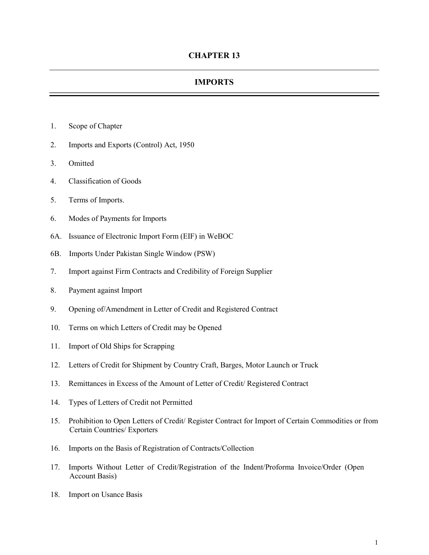## IMPORTS

- 1. Scope of Chapter
- 2. Imports and Exports (Control) Act, 1950
- 3. Omitted
- 4. Classification of Goods
- 5. Terms of Imports.
- 6. Modes of Payments for Imports
- 6A. Issuance of Electronic Import Form (EIF) in WeBOC
- 6B. Imports Under Pakistan Single Window (PSW)
- 7. Import against Firm Contracts and Credibility of Foreign Supplier
- 8. Payment against Import
- 9. Opening of/Amendment in Letter of Credit and Registered Contract
- 10. Terms on which Letters of Credit may be Opened
- 11. Import of Old Ships for Scrapping
- 12. Letters of Credit for Shipment by Country Craft, Barges, Motor Launch or Truck
- 13. Remittances in Excess of the Amount of Letter of Credit/ Registered Contract
- 14. Types of Letters of Credit not Permitted
- 15. Prohibition to Open Letters of Credit/ Register Contract for Import of Certain Commodities or from Certain Countries/ Exporters
- 16. Imports on the Basis of Registration of Contracts/Collection
- 17. Imports Without Letter of Credit/Registration of the Indent/Proforma Invoice/Order (Open Account Basis)
- 18. Import on Usance Basis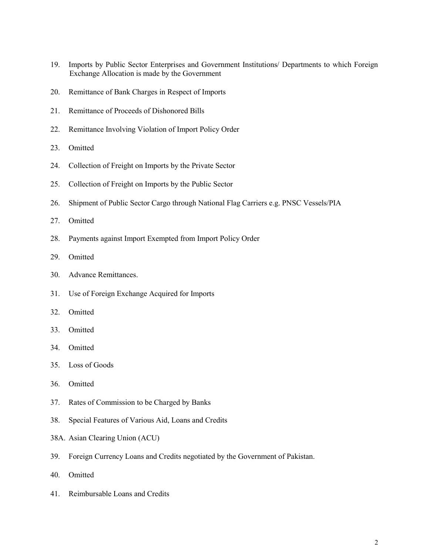- 19. Imports by Public Sector Enterprises and Government Institutions/ Departments to which Foreign Exchange Allocation is made by the Government
- 20. Remittance of Bank Charges in Respect of Imports
- 21. Remittance of Proceeds of Dishonored Bills
- 22. Remittance Involving Violation of Import Policy Order
- 23. Omitted
- 24. Collection of Freight on Imports by the Private Sector
- 25. Collection of Freight on Imports by the Public Sector
- 26. Shipment of Public Sector Cargo through National Flag Carriers e.g. PNSC Vessels/PIA
- 27. Omitted
- 28. Payments against Import Exempted from Import Policy Order
- 29. Omitted
- 30. Advance Remittances.
- 31. Use of Foreign Exchange Acquired for Imports
- 32. Omitted
- 33. Omitted
- 34. Omitted
- 35. Loss of Goods
- 36. Omitted
- 37. Rates of Commission to be Charged by Banks
- 38. Special Features of Various Aid, Loans and Credits
- 38A. Asian Clearing Union (ACU)
- 39. Foreign Currency Loans and Credits negotiated by the Government of Pakistan.
- 40. Omitted
- 41. Reimbursable Loans and Credits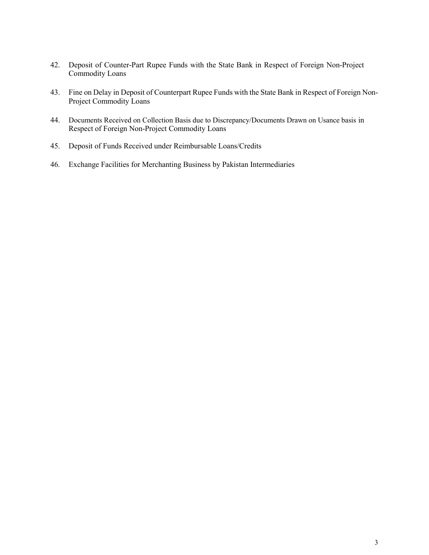- 42. Deposit of Counter-Part Rupee Funds with the State Bank in Respect of Foreign Non-Project Commodity Loans
- 43. Fine on Delay in Deposit of Counterpart Rupee Funds with the State Bank in Respect of Foreign Non-Project Commodity Loans
- 44. Documents Received on Collection Basis due to Discrepancy/Documents Drawn on Usance basis in Respect of Foreign Non-Project Commodity Loans
- 45. Deposit of Funds Received under Reimbursable Loans/Credits
- 46. Exchange Facilities for Merchanting Business by Pakistan Intermediaries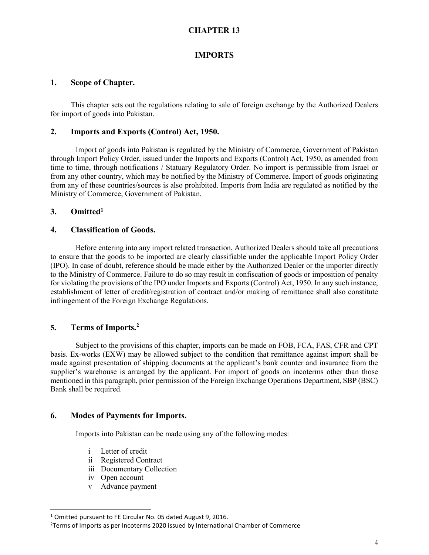# CHAPTER 13

#### IMPORTS

#### 1. Scope of Chapter.

 This chapter sets out the regulations relating to sale of foreign exchange by the Authorized Dealers for import of goods into Pakistan.

#### 2. Imports and Exports (Control) Act, 1950.

Import of goods into Pakistan is regulated by the Ministry of Commerce, Government of Pakistan through Import Policy Order, issued under the Imports and Exports (Control) Act, 1950, as amended from time to time, through notifications / Statuary Regulatory Order. No import is permissible from Israel or from any other country, which may be notified by the Ministry of Commerce. Import of goods originating from any of these countries/sources is also prohibited. Imports from India are regulated as notified by the Ministry of Commerce, Government of Pakistan.

#### 3. Omitted<sup>1</sup>

#### 4. Classification of Goods.

Before entering into any import related transaction, Authorized Dealers should take all precautions to ensure that the goods to be imported are clearly classifiable under the applicable Import Policy Order (IPO). In case of doubt, reference should be made either by the Authorized Dealer or the importer directly to the Ministry of Commerce. Failure to do so may result in confiscation of goods or imposition of penalty for violating the provisions of the IPO under Imports and Exports (Control) Act, 1950. In any such instance, establishment of letter of credit/registration of contract and/or making of remittance shall also constitute infringement of the Foreign Exchange Regulations.

## 5. Terms of Imports.<sup>2</sup>

Subject to the provisions of this chapter, imports can be made on FOB, FCA, FAS, CFR and CPT basis. Ex-works (EXW) may be allowed subject to the condition that remittance against import shall be made against presentation of shipping documents at the applicant's bank counter and insurance from the supplier's warehouse is arranged by the applicant. For import of goods on incoterms other than those mentioned in this paragraph, prior permission of the Foreign Exchange Operations Department, SBP (BSC) Bank shall be required.

#### 6. Modes of Payments for Imports.

Imports into Pakistan can be made using any of the following modes:

- i Letter of credit
- ii Registered Contract
- iii Documentary Collection
- iv Open account

l

v Advance payment

<sup>&</sup>lt;sup>1</sup> Omitted pursuant to FE Circular No. 05 dated August 9, 2016.

 $2$ Terms of Imports as per Incoterms 2020 issued by International Chamber of Commerce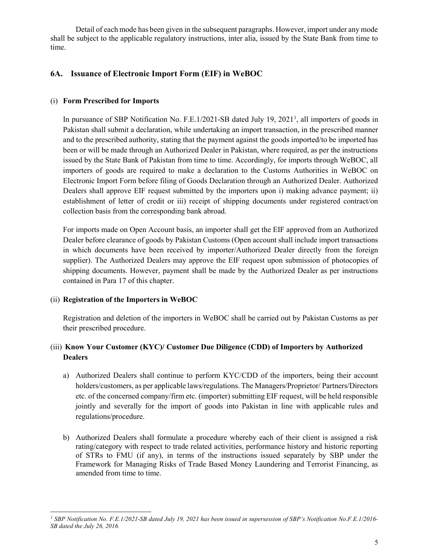Detail of each mode has been given in the subsequent paragraphs. However, import under any mode shall be subject to the applicable regulatory instructions, inter alia, issued by the State Bank from time to time.

# 6A. Issuance of Electronic Import Form (EIF) in WeBOC

## (i) Form Prescribed for Imports

In pursuance of SBP Notification No. F.E.1/2021-SB dated July 19, 2021<sup>1</sup>, all importers of goods in Pakistan shall submit a declaration, while undertaking an import transaction, in the prescribed manner and to the prescribed authority, stating that the payment against the goods imported/to be imported has been or will be made through an Authorized Dealer in Pakistan, where required, as per the instructions issued by the State Bank of Pakistan from time to time. Accordingly, for imports through WeBOC, all importers of goods are required to make a declaration to the Customs Authorities in WeBOC on Electronic Import Form before filing of Goods Declaration through an Authorized Dealer. Authorized Dealers shall approve EIF request submitted by the importers upon i) making advance payment; ii) establishment of letter of credit or iii) receipt of shipping documents under registered contract/on collection basis from the corresponding bank abroad.

For imports made on Open Account basis, an importer shall get the EIF approved from an Authorized Dealer before clearance of goods by Pakistan Customs (Open account shall include import transactions in which documents have been received by importer/Authorized Dealer directly from the foreign supplier). The Authorized Dealers may approve the EIF request upon submission of photocopies of shipping documents. However, payment shall be made by the Authorized Dealer as per instructions contained in Para 17 of this chapter.

## (ii) Registration of the Importers in WeBOC

Registration and deletion of the importers in WeBOC shall be carried out by Pakistan Customs as per their prescribed procedure.

# (iii) Know Your Customer (KYC)/ Customer Due Diligence (CDD) of Importers by Authorized **Dealers**

- a) Authorized Dealers shall continue to perform KYC/CDD of the importers, being their account holders/customers, as per applicable laws/regulations. The Managers/Proprietor/ Partners/Directors etc. of the concerned company/firm etc. (importer) submitting EIF request, will be held responsible jointly and severally for the import of goods into Pakistan in line with applicable rules and regulations/procedure.
- b) Authorized Dealers shall formulate a procedure whereby each of their client is assigned a risk rating/category with respect to trade related activities, performance history and historic reporting of STRs to FMU (if any), in terms of the instructions issued separately by SBP under the Framework for Managing Risks of Trade Based Money Laundering and Terrorist Financing, as amended from time to time.

l <sup>1</sup> SBP Notification No. F.E.1/2021-SB dated July 19, 2021 has been issued in supersession of SBP's Notification No.F.E.1/2016-SB dated the July 26, 2016.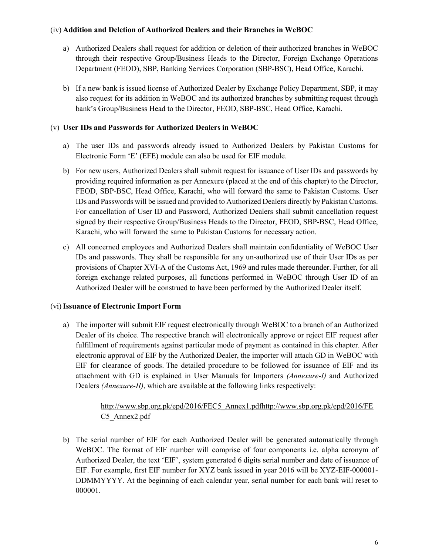#### (iv) Addition and Deletion of Authorized Dealers and their Branches in WeBOC

- a) Authorized Dealers shall request for addition or deletion of their authorized branches in WeBOC through their respective Group/Business Heads to the Director, Foreign Exchange Operations Department (FEOD), SBP, Banking Services Corporation (SBP-BSC), Head Office, Karachi.
- b) If a new bank is issued license of Authorized Dealer by Exchange Policy Department, SBP, it may also request for its addition in WeBOC and its authorized branches by submitting request through bank's Group/Business Head to the Director, FEOD, SBP-BSC, Head Office, Karachi.

## (v) User IDs and Passwords for Authorized Dealers in WeBOC

- a) The user IDs and passwords already issued to Authorized Dealers by Pakistan Customs for Electronic Form 'E' (EFE) module can also be used for EIF module.
- b) For new users, Authorized Dealers shall submit request for issuance of User IDs and passwords by providing required information as per Annexure (placed at the end of this chapter) to the Director, FEOD, SBP-BSC, Head Office, Karachi, who will forward the same to Pakistan Customs. User IDs and Passwords will be issued and provided to Authorized Dealers directly by Pakistan Customs. For cancellation of User ID and Password, Authorized Dealers shall submit cancellation request signed by their respective Group/Business Heads to the Director, FEOD, SBP-BSC, Head Office, Karachi, who will forward the same to Pakistan Customs for necessary action.
- c) All concerned employees and Authorized Dealers shall maintain confidentiality of WeBOC User IDs and passwords. They shall be responsible for any un-authorized use of their User IDs as per provisions of Chapter XVI-A of the Customs Act, 1969 and rules made thereunder. Further, for all foreign exchange related purposes, all functions performed in WeBOC through User ID of an Authorized Dealer will be construed to have been performed by the Authorized Dealer itself.

## (vi)Issuance of Electronic Import Form

a) The importer will submit EIF request electronically through WeBOC to a branch of an Authorized Dealer of its choice. The respective branch will electronically approve or reject EIF request after fulfillment of requirements against particular mode of payment as contained in this chapter. After electronic approval of EIF by the Authorized Dealer, the importer will attach GD in WeBOC with EIF for clearance of goods. The detailed procedure to be followed for issuance of EIF and its attachment with GD is explained in User Manuals for Importers (Annexure-I) and Authorized Dealers *(Annexure-II)*, which are available at the following links respectively:

## http://www.sbp.org.pk/epd/2016/FEC5\_Annex1.pdfhttp://www.sbp.org.pk/epd/2016/FE C5\_Annex2.pdf

b) The serial number of EIF for each Authorized Dealer will be generated automatically through WeBOC. The format of EIF number will comprise of four components i.e. alpha acronym of Authorized Dealer, the text 'EIF', system generated 6 digits serial number and date of issuance of EIF. For example, first EIF number for XYZ bank issued in year 2016 will be XYZ-EIF-000001- DDMMYYYY. At the beginning of each calendar year, serial number for each bank will reset to 000001.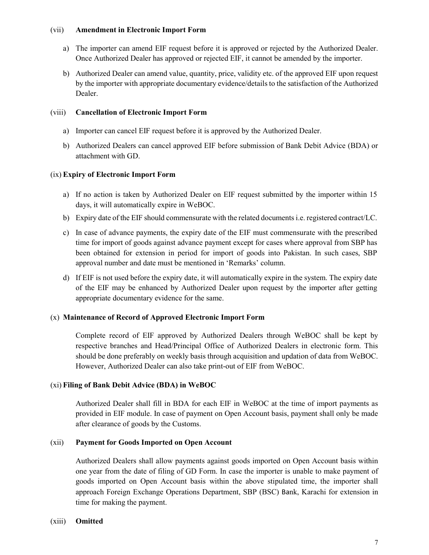#### (vii) Amendment in Electronic Import Form

- a) The importer can amend EIF request before it is approved or rejected by the Authorized Dealer. Once Authorized Dealer has approved or rejected EIF, it cannot be amended by the importer.
- b) Authorized Dealer can amend value, quantity, price, validity etc. of the approved EIF upon request by the importer with appropriate documentary evidence/details to the satisfaction of the Authorized Dealer.

#### (viii) Cancellation of Electronic Import Form

- a) Importer can cancel EIF request before it is approved by the Authorized Dealer.
- b) Authorized Dealers can cancel approved EIF before submission of Bank Debit Advice (BDA) or attachment with GD.

#### (ix) Expiry of Electronic Import Form

- a) If no action is taken by Authorized Dealer on EIF request submitted by the importer within 15 days, it will automatically expire in WeBOC.
- b) Expiry date of the EIF should commensurate with the related documents i.e. registered contract/LC.
- c) In case of advance payments, the expiry date of the EIF must commensurate with the prescribed time for import of goods against advance payment except for cases where approval from SBP has been obtained for extension in period for import of goods into Pakistan. In such cases, SBP approval number and date must be mentioned in 'Remarks' column.
- d) If EIF is not used before the expiry date, it will automatically expire in the system. The expiry date of the EIF may be enhanced by Authorized Dealer upon request by the importer after getting appropriate documentary evidence for the same.

#### (x) Maintenance of Record of Approved Electronic Import Form

Complete record of EIF approved by Authorized Dealers through WeBOC shall be kept by respective branches and Head/Principal Office of Authorized Dealers in electronic form. This should be done preferably on weekly basis through acquisition and updation of data from WeBOC. However, Authorized Dealer can also take print-out of EIF from WeBOC.

#### (xi) Filing of Bank Debit Advice (BDA) in WeBOC

Authorized Dealer shall fill in BDA for each EIF in WeBOC at the time of import payments as provided in EIF module. In case of payment on Open Account basis, payment shall only be made after clearance of goods by the Customs.

#### (xii) Payment for Goods Imported on Open Account

Authorized Dealers shall allow payments against goods imported on Open Account basis within one year from the date of filing of GD Form. In case the importer is unable to make payment of goods imported on Open Account basis within the above stipulated time, the importer shall approach Foreign Exchange Operations Department, SBP (BSC) Bank, Karachi for extension in time for making the payment.

#### (xiii) Omitted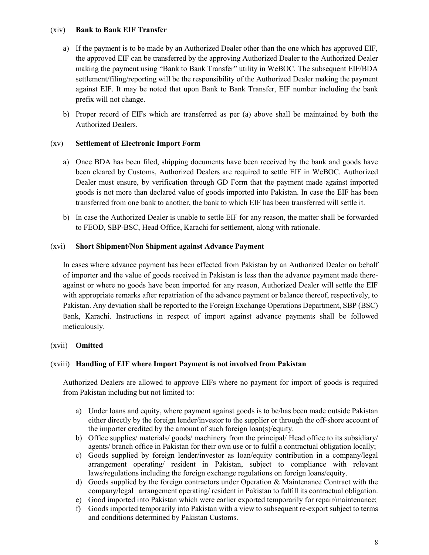#### (xiv) Bank to Bank EIF Transfer

- a) If the payment is to be made by an Authorized Dealer other than the one which has approved EIF, the approved EIF can be transferred by the approving Authorized Dealer to the Authorized Dealer making the payment using "Bank to Bank Transfer" utility in WeBOC. The subsequent EIF/BDA settlement/filing/reporting will be the responsibility of the Authorized Dealer making the payment against EIF. It may be noted that upon Bank to Bank Transfer, EIF number including the bank prefix will not change.
- b) Proper record of EIFs which are transferred as per (a) above shall be maintained by both the Authorized Dealers.

## (xv) Settlement of Electronic Import Form

- a) Once BDA has been filed, shipping documents have been received by the bank and goods have been cleared by Customs, Authorized Dealers are required to settle EIF in WeBOC. Authorized Dealer must ensure, by verification through GD Form that the payment made against imported goods is not more than declared value of goods imported into Pakistan. In case the EIF has been transferred from one bank to another, the bank to which EIF has been transferred will settle it.
- b) In case the Authorized Dealer is unable to settle EIF for any reason, the matter shall be forwarded to FEOD, SBP-BSC, Head Office, Karachi for settlement, along with rationale.

## (xvi) Short Shipment/Non Shipment against Advance Payment

In cases where advance payment has been effected from Pakistan by an Authorized Dealer on behalf of importer and the value of goods received in Pakistan is less than the advance payment made thereagainst or where no goods have been imported for any reason, Authorized Dealer will settle the EIF with appropriate remarks after repatriation of the advance payment or balance thereof, respectively, to Pakistan. Any deviation shall be reported to the Foreign Exchange Operations Department, SBP (BSC) Bank, Karachi. Instructions in respect of import against advance payments shall be followed meticulously.

## (xvii) Omitted

## (xviii) Handling of EIF where Import Payment is not involved from Pakistan

Authorized Dealers are allowed to approve EIFs where no payment for import of goods is required from Pakistan including but not limited to:

- a) Under loans and equity, where payment against goods is to be/has been made outside Pakistan either directly by the foreign lender/investor to the supplier or through the off-shore account of the importer credited by the amount of such foreign loan(s)/equity.
- b) Office supplies/ materials/ goods/ machinery from the principal/ Head office to its subsidiary/ agents/ branch office in Pakistan for their own use or to fulfil a contractual obligation locally;
- c) Goods supplied by foreign lender/investor as loan/equity contribution in a company/legal arrangement operating/ resident in Pakistan, subject to compliance with relevant laws/regulations including the foreign exchange regulations on foreign loans/equity.
- d) Goods supplied by the foreign contractors under Operation & Maintenance Contract with the company/legal arrangement operating/ resident in Pakistan to fulfill its contractual obligation.
- e) Good imported into Pakistan which were earlier exported temporarily for repair/maintenance;
- f) Goods imported temporarily into Pakistan with a view to subsequent re-export subject to terms and conditions determined by Pakistan Customs.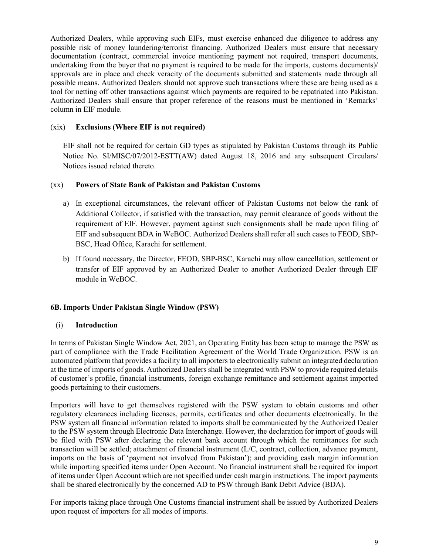Authorized Dealers, while approving such EIFs, must exercise enhanced due diligence to address any possible risk of money laundering/terrorist financing. Authorized Dealers must ensure that necessary documentation (contract, commercial invoice mentioning payment not required, transport documents, undertaking from the buyer that no payment is required to be made for the imports, customs documents)/ approvals are in place and check veracity of the documents submitted and statements made through all possible means. Authorized Dealers should not approve such transactions where these are being used as a tool for netting off other transactions against which payments are required to be repatriated into Pakistan. Authorized Dealers shall ensure that proper reference of the reasons must be mentioned in 'Remarks' column in EIF module.

#### (xix) Exclusions (Where EIF is not required)

EIF shall not be required for certain GD types as stipulated by Pakistan Customs through its Public Notice No. SI/MISC/07/2012-ESTT(AW) dated August 18, 2016 and any subsequent Circulars/ Notices issued related thereto.

#### (xx) Powers of State Bank of Pakistan and Pakistan Customs

- a) In exceptional circumstances, the relevant officer of Pakistan Customs not below the rank of Additional Collector, if satisfied with the transaction, may permit clearance of goods without the requirement of EIF. However, payment against such consignments shall be made upon filing of EIF and subsequent BDA in WeBOC. Authorized Dealers shall refer all such cases to FEOD, SBP-BSC, Head Office, Karachi for settlement.
- b) If found necessary, the Director, FEOD, SBP-BSC, Karachi may allow cancellation, settlement or transfer of EIF approved by an Authorized Dealer to another Authorized Dealer through EIF module in WeBOC.

#### 6B. Imports Under Pakistan Single Window (PSW)

#### (i) Introduction

In terms of Pakistan Single Window Act, 2021, an Operating Entity has been setup to manage the PSW as part of compliance with the Trade Facilitation Agreement of the World Trade Organization. PSW is an automated platform that provides a facility to all importers to electronically submit an integrated declaration at the time of imports of goods. Authorized Dealers shall be integrated with PSW to provide required details of customer's profile, financial instruments, foreign exchange remittance and settlement against imported goods pertaining to their customers.

Importers will have to get themselves registered with the PSW system to obtain customs and other regulatory clearances including licenses, permits, certificates and other documents electronically. In the PSW system all financial information related to imports shall be communicated by the Authorized Dealer to the PSW system through Electronic Data Interchange. However, the declaration for import of goods will be filed with PSW after declaring the relevant bank account through which the remittances for such transaction will be settled; attachment of financial instrument (L/C, contract, collection, advance payment, imports on the basis of 'payment not involved from Pakistan'); and providing cash margin information while importing specified items under Open Account. No financial instrument shall be required for import of items under Open Account which are not specified under cash margin instructions. The import payments shall be shared electronically by the concerned AD to PSW through Bank Debit Advice (BDA).

For imports taking place through One Customs financial instrument shall be issued by Authorized Dealers upon request of importers for all modes of imports.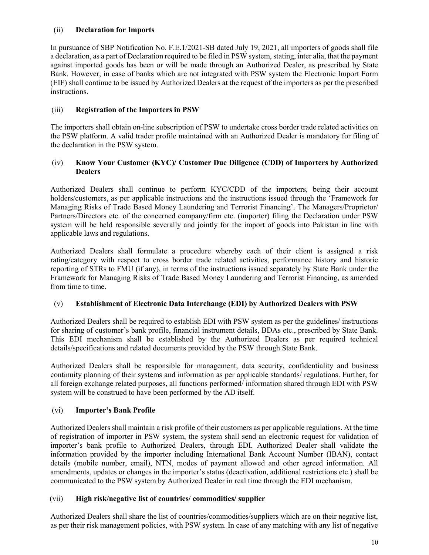#### (ii) Declaration for Imports

In pursuance of SBP Notification No. F.E.1/2021-SB dated July 19, 2021, all importers of goods shall file a declaration, as a part of Declaration required to be filed in PSW system, stating, inter alia, that the payment against imported goods has been or will be made through an Authorized Dealer, as prescribed by State Bank. However, in case of banks which are not integrated with PSW system the Electronic Import Form (EIF) shall continue to be issued by Authorized Dealers at the request of the importers as per the prescribed instructions.

#### (iii) Registration of the Importers in PSW

The importers shall obtain on-line subscription of PSW to undertake cross border trade related activities on the PSW platform. A valid trader profile maintained with an Authorized Dealer is mandatory for filing of the declaration in the PSW system.

#### (iv) Know Your Customer (KYC)/ Customer Due Diligence (CDD) of Importers by Authorized **Dealers**

Authorized Dealers shall continue to perform KYC/CDD of the importers, being their account holders/customers, as per applicable instructions and the instructions issued through the 'Framework for Managing Risks of Trade Based Money Laundering and Terrorist Financing'. The Managers/Proprietor/ Partners/Directors etc. of the concerned company/firm etc. (importer) filing the Declaration under PSW system will be held responsible severally and jointly for the import of goods into Pakistan in line with applicable laws and regulations.

Authorized Dealers shall formulate a procedure whereby each of their client is assigned a risk rating/category with respect to cross border trade related activities, performance history and historic reporting of STRs to FMU (if any), in terms of the instructions issued separately by State Bank under the Framework for Managing Risks of Trade Based Money Laundering and Terrorist Financing, as amended from time to time.

#### (v) Establishment of Electronic Data Interchange (EDI) by Authorized Dealers with PSW

Authorized Dealers shall be required to establish EDI with PSW system as per the guidelines/ instructions for sharing of customer's bank profile, financial instrument details, BDAs etc., prescribed by State Bank. This EDI mechanism shall be established by the Authorized Dealers as per required technical details/specifications and related documents provided by the PSW through State Bank.

Authorized Dealers shall be responsible for management, data security, confidentiality and business continuity planning of their systems and information as per applicable standards/ regulations. Further, for all foreign exchange related purposes, all functions performed/ information shared through EDI with PSW system will be construed to have been performed by the AD itself.

## (vi) Importer's Bank Profile

Authorized Dealers shall maintain a risk profile of their customers as per applicable regulations. At the time of registration of importer in PSW system, the system shall send an electronic request for validation of importer's bank profile to Authorized Dealers, through EDI. Authorized Dealer shall validate the information provided by the importer including International Bank Account Number (IBAN), contact details (mobile number, email), NTN, modes of payment allowed and other agreed information. All amendments, updates or changes in the importer's status (deactivation, additional restrictions etc.) shall be communicated to the PSW system by Authorized Dealer in real time through the EDI mechanism.

## (vii) High risk/negative list of countries/ commodities/ supplier

Authorized Dealers shall share the list of countries/commodities/suppliers which are on their negative list, as per their risk management policies, with PSW system. In case of any matching with any list of negative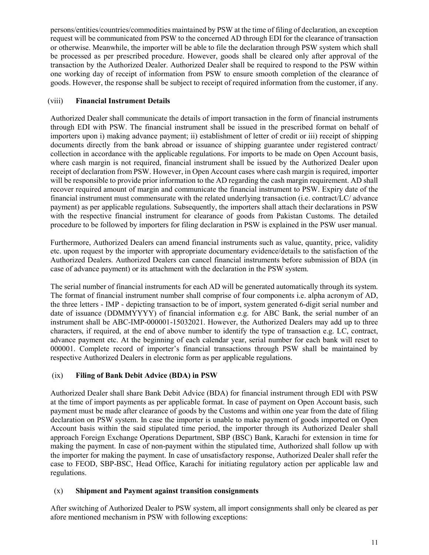persons/entities/countries/commodities maintained by PSW at the time of filing of declaration, an exception request will be communicated from PSW to the concerned AD through EDI for the clearance of transaction or otherwise. Meanwhile, the importer will be able to file the declaration through PSW system which shall be processed as per prescribed procedure. However, goods shall be cleared only after approval of the transaction by the Authorized Dealer. Authorized Dealer shall be required to respond to the PSW within one working day of receipt of information from PSW to ensure smooth completion of the clearance of goods. However, the response shall be subject to receipt of required information from the customer, if any.

## (viii) Financial Instrument Details

Authorized Dealer shall communicate the details of import transaction in the form of financial instruments through EDI with PSW. The financial instrument shall be issued in the prescribed format on behalf of importers upon i) making advance payment; ii) establishment of letter of credit or iii) receipt of shipping documents directly from the bank abroad or issuance of shipping guarantee under registered contract/ collection in accordance with the applicable regulations. For imports to be made on Open Account basis, where cash margin is not required, financial instrument shall be issued by the Authorized Dealer upon receipt of declaration from PSW. However, in Open Account cases where cash margin is required, importer will be responsible to provide prior information to the AD regarding the cash margin requirement. AD shall recover required amount of margin and communicate the financial instrument to PSW. Expiry date of the financial instrument must commensurate with the related underlying transaction (i.e. contract/LC/ advance payment) as per applicable regulations. Subsequently, the importers shall attach their declarations in PSW with the respective financial instrument for clearance of goods from Pakistan Customs. The detailed procedure to be followed by importers for filing declaration in PSW is explained in the PSW user manual.

Furthermore, Authorized Dealers can amend financial instruments such as value, quantity, price, validity etc. upon request by the importer with appropriate documentary evidence/details to the satisfaction of the Authorized Dealers. Authorized Dealers can cancel financial instruments before submission of BDA (in case of advance payment) or its attachment with the declaration in the PSW system.

The serial number of financial instruments for each AD will be generated automatically through its system. The format of financial instrument number shall comprise of four components i.e. alpha acronym of AD, the three letters - IMP - depicting transaction to be of import, system generated 6-digit serial number and date of issuance (DDMMYYYY) of financial information e.g. for ABC Bank, the serial number of an instrument shall be ABC-IMP-000001-15032021. However, the Authorized Dealers may add up to three characters, if required, at the end of above number to identify the type of transaction e.g. LC, contract, advance payment etc. At the beginning of each calendar year, serial number for each bank will reset to 000001. Complete record of importer's financial transactions through PSW shall be maintained by respective Authorized Dealers in electronic form as per applicable regulations.

# (ix) Filing of Bank Debit Advice (BDA) in PSW

Authorized Dealer shall share Bank Debit Advice (BDA) for financial instrument through EDI with PSW at the time of import payments as per applicable format. In case of payment on Open Account basis, such payment must be made after clearance of goods by the Customs and within one year from the date of filing declaration on PSW system. In case the importer is unable to make payment of goods imported on Open Account basis within the said stipulated time period, the importer through its Authorized Dealer shall approach Foreign Exchange Operations Department, SBP (BSC) Bank, Karachi for extension in time for making the payment. In case of non-payment within the stipulated time, Authorized shall follow up with the importer for making the payment. In case of unsatisfactory response, Authorized Dealer shall refer the case to FEOD, SBP-BSC, Head Office, Karachi for initiating regulatory action per applicable law and regulations.

## (x) Shipment and Payment against transition consignments

After switching of Authorized Dealer to PSW system, all import consignments shall only be cleared as per afore mentioned mechanism in PSW with following exceptions: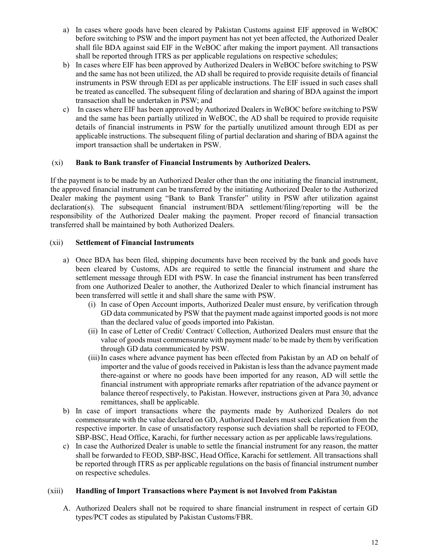- a) In cases where goods have been cleared by Pakistan Customs against EIF approved in WeBOC before switching to PSW and the import payment has not yet been affected, the Authorized Dealer shall file BDA against said EIF in the WeBOC after making the import payment. All transactions shall be reported through ITRS as per applicable regulations on respective schedules;
- b) In cases where EIF has been approved by Authorized Dealers in WeBOC before switching to PSW and the same has not been utilized, the AD shall be required to provide requisite details of financial instruments in PSW through EDI as per applicable instructions. The EIF issued in such cases shall be treated as cancelled. The subsequent filing of declaration and sharing of BDA against the import transaction shall be undertaken in PSW; and
- c) In cases where EIF has been approved by Authorized Dealers in WeBOC before switching to PSW and the same has been partially utilized in WeBOC, the AD shall be required to provide requisite details of financial instruments in PSW for the partially unutilized amount through EDI as per applicable instructions. The subsequent filing of partial declaration and sharing of BDA against the import transaction shall be undertaken in PSW.

#### (xi) Bank to Bank transfer of Financial Instruments by Authorized Dealers.

If the payment is to be made by an Authorized Dealer other than the one initiating the financial instrument, the approved financial instrument can be transferred by the initiating Authorized Dealer to the Authorized Dealer making the payment using "Bank to Bank Transfer" utility in PSW after utilization against declaration(s). The subsequent financial instrument/BDA settlement/filing/reporting will be the responsibility of the Authorized Dealer making the payment. Proper record of financial transaction transferred shall be maintained by both Authorized Dealers.

#### (xii) Settlement of Financial Instruments

- a) Once BDA has been filed, shipping documents have been received by the bank and goods have been cleared by Customs, ADs are required to settle the financial instrument and share the settlement message through EDI with PSW. In case the financial instrument has been transferred from one Authorized Dealer to another, the Authorized Dealer to which financial instrument has been transferred will settle it and shall share the same with PSW.
	- (i) In case of Open Account imports, Authorized Dealer must ensure, by verification through GD data communicated by PSW that the payment made against imported goods is not more than the declared value of goods imported into Pakistan.
	- (ii) In case of Letter of Credit/ Contract/ Collection, Authorized Dealers must ensure that the value of goods must commensurate with payment made/ to be made by them by verification through GD data communicated by PSW.
	- (iii)In cases where advance payment has been effected from Pakistan by an AD on behalf of importer and the value of goods received in Pakistan is less than the advance payment made there-against or where no goods have been imported for any reason, AD will settle the financial instrument with appropriate remarks after repatriation of the advance payment or balance thereof respectively, to Pakistan. However, instructions given at Para 30, advance remittances, shall be applicable.
- b) In case of import transactions where the payments made by Authorized Dealers do not commensurate with the value declared on GD, Authorized Dealers must seek clarification from the respective importer. In case of unsatisfactory response such deviation shall be reported to FEOD, SBP-BSC, Head Office, Karachi, for further necessary action as per applicable laws/regulations.
- c) In case the Authorized Dealer is unable to settle the financial instrument for any reason, the matter shall be forwarded to FEOD, SBP-BSC, Head Office, Karachi for settlement. All transactions shall be reported through ITRS as per applicable regulations on the basis of financial instrument number on respective schedules.

#### (xiii) Handling of Import Transactions where Payment is not Involved from Pakistan

A. Authorized Dealers shall not be required to share financial instrument in respect of certain GD types/PCT codes as stipulated by Pakistan Customs/FBR.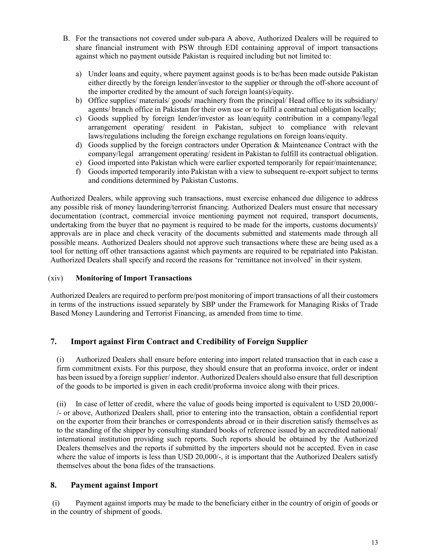- B. For the transactions not covered under sub-para A above, Authorized Dealers will be required to share financial instrument with PSW through EDI containing approval of import transactions against which no payment outside Pakistan is required including but not limited to:
	- a) Under loans and equity, where payment against goods is to be/has been made outside Pakistan either directly by the foreign lender/investor to the supplier or through the off-shore account of the importer credited by the amount of such foreign loan(s)/equity.
	- b) Office supplies/ materials/ goods/ machinery from the principal/ Head office to its subsidiary/ agents/ branch office in Pakistan for their own use or to fulfil a contractual obligation locally;
	- c) Goods supplied by foreign lender/investor as loan/equity contribution in a company/legal arrangement operating/ resident in Pakistan, subject to compliance with relevant laws/regulations including the foreign exchange regulations on foreign loans/equity.
	- d) Goods supplied by the foreign contractors under Operation & Maintenance Contract with the company/legal arrangement operating/ resident in Pakistan to fulfill its contractual obligation.
	- e) Good imported into Pakistan which were earlier exported temporarily for repair/maintenance;
	- f) Goods imported temporarily into Pakistan with a view to subsequent re-export subject to terms and conditions determined by Pakistan Customs.

Authorized Dealers, while approving such transactions, must exercise enhanced due diligence to address any possible risk of money laundering/terrorist financing. Authorized Dealers must ensure that necessary documentation (contract, commercial invoice mentioning payment not required, transport documents, undertaking from the buyer that no payment is required to be made for the imports, customs documents)/ approvals are in place and check veracity of the documents submitted and statements made through all possible means. Authorized Dealers should not approve such transactions where these are being used as a tool for netting off other transactions against which payments are required to be repatriated into Pakistan. Authorized Dealers shall specify and record the reasons for 'remittance not involved' in their system.

#### (xiv) Monitoring of Import Transactions

Authorized Dealers are required to perform pre/post monitoring of import transactions of all their customers in terms of the instructions issued separately by SBP under the Framework for Managing Risks of Trade Based Money Laundering and Terrorist Financing, as amended from time to time.

## 7. Import against Firm Contract and Credibility of Foreign Supplier

(i) Authorized Dealers shall ensure before entering into import related transaction that in each case a firm commitment exists. For this purpose, they should ensure that an proforma invoice, order or indent has been issued by a foreign supplier/ indentor. Authorized Dealers should also ensure that full description of the goods to be imported is given in each credit/proforma invoice along with their prices.

(ii) In case of letter of credit, where the value of goods being imported is equivalent to USD 20,000/- /- or above, Authorized Dealers shall, prior to entering into the transaction, obtain a confidential report on the exporter from their branches or correspondents abroad or in their discretion satisfy themselves as to the standing of the shipper by consulting standard books of reference issued by an accredited national/ international institution providing such reports. Such reports should be obtained by the Authorized Dealers themselves and the reports if submitted by the importers should not be accepted. Even in case where the value of imports is less than USD 20,000/-, it is important that the Authorized Dealers satisfy themselves about the bona fides of the transactions.

## 8. Payment against Import

(i) Payment against imports may be made to the beneficiary either in the country of origin of goods or in the country of shipment of goods.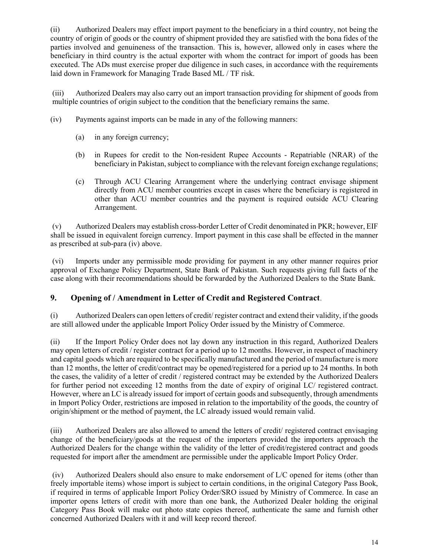(ii) Authorized Dealers may effect import payment to the beneficiary in a third country, not being the country of origin of goods or the country of shipment provided they are satisfied with the bona fides of the parties involved and genuineness of the transaction. This is, however, allowed only in cases where the beneficiary in third country is the actual exporter with whom the contract for import of goods has been executed. The ADs must exercise proper due diligence in such cases, in accordance with the requirements laid down in Framework for Managing Trade Based ML / TF risk.

(iii) Authorized Dealers may also carry out an import transaction providing for shipment of goods from multiple countries of origin subject to the condition that the beneficiary remains the same.

- (iv) Payments against imports can be made in any of the following manners:
	- (a) in any foreign currency;
	- (b) in Rupees for credit to the Non-resident Rupee Accounts Repatriable (NRAR) of the beneficiary in Pakistan, subject to compliance with the relevant foreign exchange regulations;
	- (c) Through ACU Clearing Arrangement where the underlying contract envisage shipment directly from ACU member countries except in cases where the beneficiary is registered in other than ACU member countries and the payment is required outside ACU Clearing Arrangement.

(v) Authorized Dealers may establish cross-border Letter of Credit denominated in PKR; however, EIF shall be issued in equivalent foreign currency. Import payment in this case shall be effected in the manner as prescribed at sub-para (iv) above.

(vi) Imports under any permissible mode providing for payment in any other manner requires prior approval of Exchange Policy Department, State Bank of Pakistan. Such requests giving full facts of the case along with their recommendations should be forwarded by the Authorized Dealers to the State Bank.

# 9. Opening of / Amendment in Letter of Credit and Registered Contract.

(i) Authorized Dealers can open letters of credit/ register contract and extend their validity, if the goods are still allowed under the applicable Import Policy Order issued by the Ministry of Commerce.

(ii) If the Import Policy Order does not lay down any instruction in this regard, Authorized Dealers may open letters of credit / register contract for a period up to 12 months. However, in respect of machinery and capital goods which are required to be specifically manufactured and the period of manufacture is more than 12 months, the letter of credit/contract may be opened/registered for a period up to 24 months. In both the cases, the validity of a letter of credit / registered contract may be extended by the Authorized Dealers for further period not exceeding 12 months from the date of expiry of original LC/ registered contract. However, where an LC is already issued for import of certain goods and subsequently, through amendments in Import Policy Order, restrictions are imposed in relation to the importability of the goods, the country of origin/shipment or the method of payment, the LC already issued would remain valid.

(iii) Authorized Dealers are also allowed to amend the letters of credit/ registered contract envisaging change of the beneficiary/goods at the request of the importers provided the importers approach the Authorized Dealers for the change within the validity of the letter of credit/registered contract and goods requested for import after the amendment are permissible under the applicable Import Policy Order.

(iv) Authorized Dealers should also ensure to make endorsement of L/C opened for items (other than freely importable items) whose import is subject to certain conditions, in the original Category Pass Book, if required in terms of applicable Import Policy Order/SRO issued by Ministry of Commerce. In case an importer opens letters of credit with more than one bank, the Authorized Dealer holding the original Category Pass Book will make out photo state copies thereof, authenticate the same and furnish other concerned Authorized Dealers with it and will keep record thereof.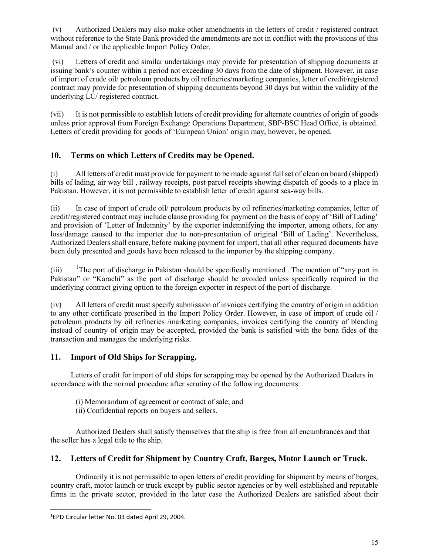(v) Authorized Dealers may also make other amendments in the letters of credit / registered contract without reference to the State Bank provided the amendments are not in conflict with the provisions of this Manual and / or the applicable Import Policy Order.

(vi) Letters of credit and similar undertakings may provide for presentation of shipping documents at issuing bank's counter within a period not exceeding 30 days from the date of shipment. However, in case of import of crude oil/ petroleum products by oil refineries/marketing companies, letter of credit/registered contract may provide for presentation of shipping documents beyond 30 days but within the validity of the underlying LC/ registered contract.

(vii) It is not permissible to establish letters of credit providing for alternate countries of origin of goods unless prior approval from Foreign Exchange Operations Department, SBP-BSC Head Office, is obtained. Letters of credit providing for goods of 'European Union' origin may, however, be opened.

# 10. Terms on which Letters of Credits may be Opened.

(i) All letters of credit must provide for payment to be made against full set of clean on board (shipped) bills of lading, air way bill , railway receipts, post parcel receipts showing dispatch of goods to a place in Pakistan. However, it is not permissible to establish letter of credit against sea-way bills.

(ii) In case of import of crude oil/ petroleum products by oil refineries/marketing companies, letter of credit/registered contract may include clause providing for payment on the basis of copy of 'Bill of Lading' and provision of 'Letter of Indemnity' by the exporter indemnifying the importer, among others, for any loss/damage caused to the importer due to non-presentation of original 'Bill of Lading'. Nevertheless, Authorized Dealers shall ensure, before making payment for import, that all other required documents have been duly presented and goods have been released to the importer by the shipping company.

 $(iii)$  <sup>1</sup>The port of discharge in Pakistan should be specifically mentioned. The mention of "any port in Pakistan" or "Karachi" as the port of discharge should be avoided unless specifically required in the underlying contract giving option to the foreign exporter in respect of the port of discharge.

(iv) All letters of credit must specify submission of invoices certifying the country of origin in addition to any other certificate prescribed in the Import Policy Order. However, in case of import of crude oil / petroleum products by oil refineries /marketing companies, invoices certifying the country of blending instead of country of origin may be accepted, provided the bank is satisfied with the bona fides of the transaction and manages the underlying risks.

# 11. Import of Old Ships for Scrapping.

Letters of credit for import of old ships for scrapping may be opened by the Authorized Dealers in accordance with the normal procedure after scrutiny of the following documents:

- (i) Memorandum of agreement or contract of sale; and
- (ii) Confidential reports on buyers and sellers.

Authorized Dealers shall satisfy themselves that the ship is free from all encumbrances and that the seller has a legal title to the ship.

# 12. Letters of Credit for Shipment by Country Craft, Barges, Motor Launch or Truck.

Ordinarily it is not permissible to open letters of credit providing for shipment by means of barges, country craft, motor launch or truck except by public sector agencies or by well established and reputable firms in the private sector, provided in the later case the Authorized Dealers are satisfied about their

l

<sup>1</sup>EPD Circular letter No. 03 dated April 29, 2004.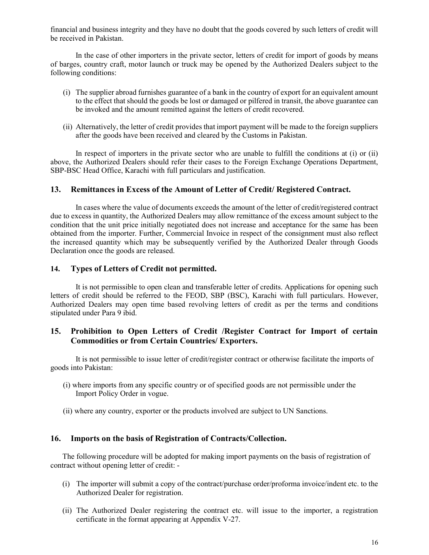financial and business integrity and they have no doubt that the goods covered by such letters of credit will be received in Pakistan.

In the case of other importers in the private sector, letters of credit for import of goods by means of barges, country craft, motor launch or truck may be opened by the Authorized Dealers subject to the following conditions:

- (i) The supplier abroad furnishes guarantee of a bank in the country of export for an equivalent amount to the effect that should the goods be lost or damaged or pilfered in transit, the above guarantee can be invoked and the amount remitted against the letters of credit recovered.
- (ii) Alternatively, the letter of credit provides that import payment will be made to the foreign suppliers after the goods have been received and cleared by the Customs in Pakistan.

In respect of importers in the private sector who are unable to fulfill the conditions at (i) or (ii) above, the Authorized Dealers should refer their cases to the Foreign Exchange Operations Department, SBP-BSC Head Office, Karachi with full particulars and justification.

## 13. Remittances in Excess of the Amount of Letter of Credit/ Registered Contract.

In cases where the value of documents exceeds the amount of the letter of credit/registered contract due to excess in quantity, the Authorized Dealers may allow remittance of the excess amount subject to the condition that the unit price initially negotiated does not increase and acceptance for the same has been obtained from the importer. Further, Commercial Invoice in respect of the consignment must also reflect the increased quantity which may be subsequently verified by the Authorized Dealer through Goods Declaration once the goods are released.

#### 14. Types of Letters of Credit not permitted.

It is not permissible to open clean and transferable letter of credits. Applications for opening such letters of credit should be referred to the FEOD, SBP (BSC), Karachi with full particulars. However, Authorized Dealers may open time based revolving letters of credit as per the terms and conditions stipulated under Para 9 ibid.

## 15. Prohibition to Open Letters of Credit /Register Contract for Import of certain Commodities or from Certain Countries/ Exporters.

It is not permissible to issue letter of credit/register contract or otherwise facilitate the imports of goods into Pakistan:

- (i) where imports from any specific country or of specified goods are not permissible under the Import Policy Order in vogue.
- (ii) where any country, exporter or the products involved are subject to UN Sanctions.

#### 16. Imports on the basis of Registration of Contracts/Collection.

The following procedure will be adopted for making import payments on the basis of registration of contract without opening letter of credit: -

- (i) The importer will submit a copy of the contract/purchase order/proforma invoice/indent etc. to the Authorized Dealer for registration.
- (ii) The Authorized Dealer registering the contract etc. will issue to the importer, a registration certificate in the format appearing at Appendix V-27.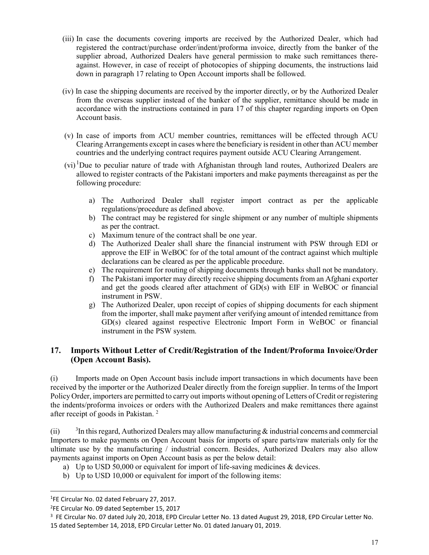- (iii) In case the documents covering imports are received by the Authorized Dealer, which had registered the contract/purchase order/indent/proforma invoice, directly from the banker of the supplier abroad, Authorized Dealers have general permission to make such remittances thereagainst. However, in case of receipt of photocopies of shipping documents, the instructions laid down in paragraph 17 relating to Open Account imports shall be followed.
- (iv) In case the shipping documents are received by the importer directly, or by the Authorized Dealer from the overseas supplier instead of the banker of the supplier, remittance should be made in accordance with the instructions contained in para 17 of this chapter regarding imports on Open Account basis.
- (v) In case of imports from ACU member countries, remittances will be effected through ACU Clearing Arrangements except in cases where the beneficiary is resident in other than ACU member countries and the underlying contract requires payment outside ACU Clearing Arrangement.
- $(vi)^T$ Due to peculiar nature of trade with Afghanistan through land routes, Authorized Dealers are allowed to register contracts of the Pakistani importers and make payments thereagainst as per the following procedure:
	- a) The Authorized Dealer shall register import contract as per the applicable regulations/procedure as defined above.
	- b) The contract may be registered for single shipment or any number of multiple shipments as per the contract.
	- c) Maximum tenure of the contract shall be one year.
	- d) The Authorized Dealer shall share the financial instrument with PSW through EDI or approve the EIF in WeBOC for of the total amount of the contract against which multiple declarations can be cleared as per the applicable procedure.
	- e) The requirement for routing of shipping documents through banks shall not be mandatory.
	- f) The Pakistani importer may directly receive shipping documents from an Afghani exporter and get the goods cleared after attachment of GD(s) with EIF in WeBOC or financial instrument in PSW.
	- g) The Authorized Dealer, upon receipt of copies of shipping documents for each shipment from the importer, shall make payment after verifying amount of intended remittance from GD(s) cleared against respective Electronic Import Form in WeBOC or financial instrument in the PSW system.

# 17. Imports Without Letter of Credit/Registration of the Indent/Proforma Invoice/Order (Open Account Basis).

(i) Imports made on Open Account basis include import transactions in which documents have been received by the importer or the Authorized Dealer directly from the foreign supplier. In terms of the Import Policy Order, importers are permitted to carry out imports without opening of Letters of Credit or registering the indents/proforma invoices or orders with the Authorized Dealers and make remittances there against after receipt of goods in Pakistan. <sup>2</sup>

 $(ii)$ <sup>3</sup>In this regard, Authorized Dealers may allow manufacturing  $\&$  industrial concerns and commercial Importers to make payments on Open Account basis for imports of spare parts/raw materials only for the ultimate use by the manufacturing / industrial concern. Besides, Authorized Dealers may also allow payments against imports on Open Account basis as per the below detail:

- a) Up to USD 50,000 or equivalent for import of life-saving medicines & devices.
- b) Up to USD 10,000 or equivalent for import of the following items:

l

<sup>&</sup>lt;sup>1</sup>FE Circular No. 02 dated February 27, 2017.

<sup>2</sup>FE Circular No. 09 dated September 15, 2017

<sup>&</sup>lt;sup>3</sup> FE Circular No. 07 dated July 20, 2018, EPD Circular Letter No. 13 dated August 29, 2018, EPD Circular Letter No. 15 dated September 14, 2018, EPD Circular Letter No. 01 dated January 01, 2019.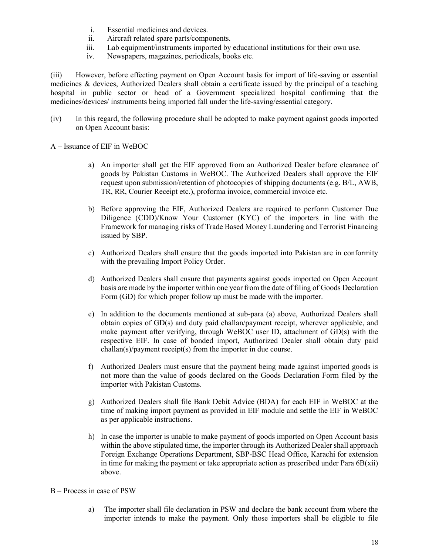- i. Essential medicines and devices.
- ii. Aircraft related spare parts/components.
- iii. Lab equipment/instruments imported by educational institutions for their own use.
- iv. Newspapers, magazines, periodicals, books etc.

(iii) However, before effecting payment on Open Account basis for import of life-saving or essential medicines & devices, Authorized Dealers shall obtain a certificate issued by the principal of a teaching hospital in public sector or head of a Government specialized hospital confirming that the medicines/devices/ instruments being imported fall under the life-saving/essential category.

- (iv) In this regard, the following procedure shall be adopted to make payment against goods imported on Open Account basis:
- A Issuance of EIF in WeBOC
	- a) An importer shall get the EIF approved from an Authorized Dealer before clearance of goods by Pakistan Customs in WeBOC. The Authorized Dealers shall approve the EIF request upon submission/retention of photocopies of shipping documents (e.g. B/L, AWB, TR, RR, Courier Receipt etc.), proforma invoice, commercial invoice etc.
	- b) Before approving the EIF, Authorized Dealers are required to perform Customer Due Diligence (CDD)/Know Your Customer (KYC) of the importers in line with the Framework for managing risks of Trade Based Money Laundering and Terrorist Financing issued by SBP.
	- c) Authorized Dealers shall ensure that the goods imported into Pakistan are in conformity with the prevailing Import Policy Order.
	- d) Authorized Dealers shall ensure that payments against goods imported on Open Account basis are made by the importer within one year from the date of filing of Goods Declaration Form (GD) for which proper follow up must be made with the importer.
	- e) In addition to the documents mentioned at sub-para (a) above, Authorized Dealers shall obtain copies of GD(s) and duty paid challan/payment receipt, wherever applicable, and make payment after verifying, through WeBOC user ID, attachment of GD(s) with the respective EIF. In case of bonded import, Authorized Dealer shall obtain duty paid challan(s)/payment receipt(s) from the importer in due course.
	- f) Authorized Dealers must ensure that the payment being made against imported goods is not more than the value of goods declared on the Goods Declaration Form filed by the importer with Pakistan Customs.
	- g) Authorized Dealers shall file Bank Debit Advice (BDA) for each EIF in WeBOC at the time of making import payment as provided in EIF module and settle the EIF in WeBOC as per applicable instructions.
	- h) In case the importer is unable to make payment of goods imported on Open Account basis within the above stipulated time, the importer through its Authorized Dealer shall approach Foreign Exchange Operations Department, SBP-BSC Head Office, Karachi for extension in time for making the payment or take appropriate action as prescribed under Para  $6B(xii)$ above.
- B Process in case of PSW
	- a) The importer shall file declaration in PSW and declare the bank account from where the importer intends to make the payment. Only those importers shall be eligible to file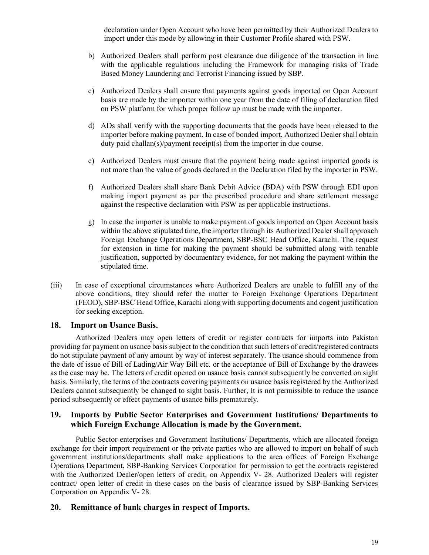declaration under Open Account who have been permitted by their Authorized Dealers to import under this mode by allowing in their Customer Profile shared with PSW.

- b) Authorized Dealers shall perform post clearance due diligence of the transaction in line with the applicable regulations including the Framework for managing risks of Trade Based Money Laundering and Terrorist Financing issued by SBP.
- c) Authorized Dealers shall ensure that payments against goods imported on Open Account basis are made by the importer within one year from the date of filing of declaration filed on PSW platform for which proper follow up must be made with the importer.
- d) ADs shall verify with the supporting documents that the goods have been released to the importer before making payment. In case of bonded import, Authorized Dealer shall obtain duty paid challan(s)/payment receipt(s) from the importer in due course.
- e) Authorized Dealers must ensure that the payment being made against imported goods is not more than the value of goods declared in the Declaration filed by the importer in PSW.
- f) Authorized Dealers shall share Bank Debit Advice (BDA) with PSW through EDI upon making import payment as per the prescribed procedure and share settlement message against the respective declaration with PSW as per applicable instructions.
- g) In case the importer is unable to make payment of goods imported on Open Account basis within the above stipulated time, the importer through its Authorized Dealer shall approach Foreign Exchange Operations Department, SBP-BSC Head Office, Karachi. The request for extension in time for making the payment should be submitted along with tenable justification, supported by documentary evidence, for not making the payment within the stipulated time.
- (iii) In case of exceptional circumstances where Authorized Dealers are unable to fulfill any of the above conditions, they should refer the matter to Foreign Exchange Operations Department (FEOD), SBP-BSC Head Office, Karachi along with supporting documents and cogent justification for seeking exception.

#### 18. Import on Usance Basis.

Authorized Dealers may open letters of credit or register contracts for imports into Pakistan providing for payment on usance basis subject to the condition that such letters of credit/registered contracts do not stipulate payment of any amount by way of interest separately. The usance should commence from the date of issue of Bill of Lading/Air Way Bill etc. or the acceptance of Bill of Exchange by the drawees as the case may be. The letters of credit opened on usance basis cannot subsequently be converted on sight basis. Similarly, the terms of the contracts covering payments on usance basis registered by the Authorized Dealers cannot subsequently be changed to sight basis. Further, It is not permissible to reduce the usance period subsequently or effect payments of usance bills prematurely.

## 19. Imports by Public Sector Enterprises and Government Institutions/ Departments to which Foreign Exchange Allocation is made by the Government.

Public Sector enterprises and Government Institutions/ Departments, which are allocated foreign exchange for their import requirement or the private parties who are allowed to import on behalf of such government institutions/departments shall make applications to the area offices of Foreign Exchange Operations Department, SBP-Banking Services Corporation for permission to get the contracts registered with the Authorized Dealer/open letters of credit, on Appendix V- 28. Authorized Dealers will register contract/ open letter of credit in these cases on the basis of clearance issued by SBP-Banking Services Corporation on Appendix V- 28.

## 20. Remittance of bank charges in respect of Imports.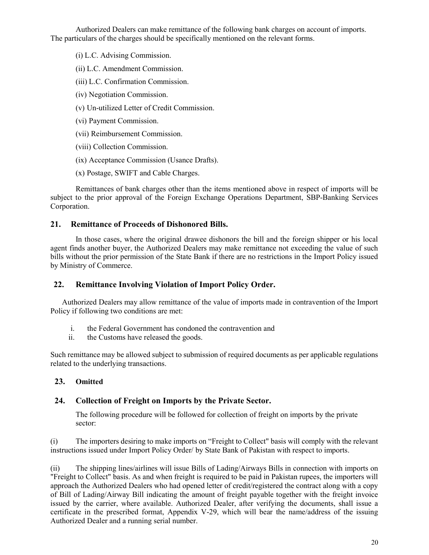Authorized Dealers can make remittance of the following bank charges on account of imports. The particulars of the charges should be specifically mentioned on the relevant forms.

(i) L.C. Advising Commission.

(ii) L.C. Amendment Commission.

(iii) L.C. Confirmation Commission.

(iv) Negotiation Commission.

(v) Un-utilized Letter of Credit Commission.

(vi) Payment Commission.

(vii) Reimbursement Commission.

(viii) Collection Commission.

(ix) Acceptance Commission (Usance Drafts).

(x) Postage, SWIFT and Cable Charges.

Remittances of bank charges other than the items mentioned above in respect of imports will be subject to the prior approval of the Foreign Exchange Operations Department, SBP-Banking Services Corporation.

## 21. Remittance of Proceeds of Dishonored Bills.

In those cases, where the original drawee dishonors the bill and the foreign shipper or his local agent finds another buyer, the Authorized Dealers may make remittance not exceeding the value of such bills without the prior permission of the State Bank if there are no restrictions in the Import Policy issued by Ministry of Commerce.

## 22. Remittance Involving Violation of Import Policy Order.

Authorized Dealers may allow remittance of the value of imports made in contravention of the Import Policy if following two conditions are met:

- i. the Federal Government has condoned the contravention and
- ii. the Customs have released the goods.

Such remittance may be allowed subject to submission of required documents as per applicable regulations related to the underlying transactions.

## 23. Omitted

## 24. Collection of Freight on Imports by the Private Sector.

The following procedure will be followed for collection of freight on imports by the private sector:

(i) The importers desiring to make imports on "Freight to Collect" basis will comply with the relevant instructions issued under Import Policy Order/ by State Bank of Pakistan with respect to imports.

(ii) The shipping lines/airlines will issue Bills of Lading/Airways Bills in connection with imports on "Freight to Collect" basis. As and when freight is required to be paid in Pakistan rupees, the importers will approach the Authorized Dealers who had opened letter of credit/registered the contract along with a copy of Bill of Lading/Airway Bill indicating the amount of freight payable together with the freight invoice issued by the carrier, where available. Authorized Dealer, after verifying the documents, shall issue a certificate in the prescribed format, Appendix V-29, which will bear the name/address of the issuing Authorized Dealer and a running serial number.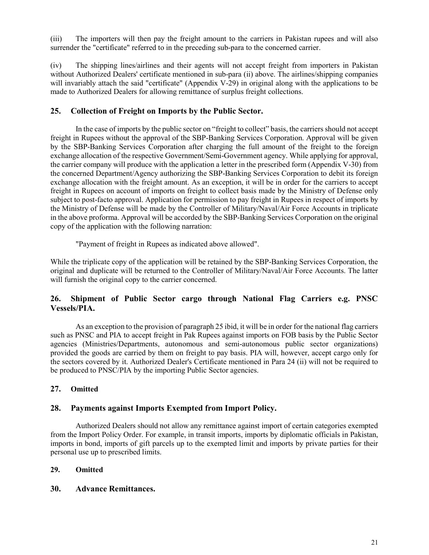(iii) The importers will then pay the freight amount to the carriers in Pakistan rupees and will also surrender the "certificate" referred to in the preceding sub-para to the concerned carrier.

(iv) The shipping lines/airlines and their agents will not accept freight from importers in Pakistan without Authorized Dealers' certificate mentioned in sub-para (ii) above. The airlines/shipping companies will invariably attach the said "certificate" (Appendix V-29) in original along with the applications to be made to Authorized Dealers for allowing remittance of surplus freight collections.

## 25. Collection of Freight on Imports by the Public Sector.

In the case of imports by the public sector on "freight to collect" basis, the carriers should not accept freight in Rupees without the approval of the SBP-Banking Services Corporation. Approval will be given by the SBP-Banking Services Corporation after charging the full amount of the freight to the foreign exchange allocation of the respective Government/Semi-Government agency. While applying for approval, the carrier company will produce with the application a letter in the prescribed form (Appendix V-30) from the concerned Department/Agency authorizing the SBP-Banking Services Corporation to debit its foreign exchange allocation with the freight amount. As an exception, it will be in order for the carriers to accept freight in Rupees on account of imports on freight to collect basis made by the Ministry of Defense only subject to post-facto approval. Application for permission to pay freight in Rupees in respect of imports by the Ministry of Defense will be made by the Controller of Military/Naval/Air Force Accounts in triplicate in the above proforma. Approval will be accorded by the SBP-Banking Services Corporation on the original copy of the application with the following narration:

"Payment of freight in Rupees as indicated above allowed".

While the triplicate copy of the application will be retained by the SBP-Banking Services Corporation, the original and duplicate will be returned to the Controller of Military/Naval/Air Force Accounts. The latter will furnish the original copy to the carrier concerned.

## 26. Shipment of Public Sector cargo through National Flag Carriers e.g. PNSC Vessels/PIA.

As an exception to the provision of paragraph 25 ibid, it will be in order for the national flag carriers such as PNSC and PIA to accept freight in Pak Rupees against imports on FOB basis by the Public Sector agencies (Ministries/Departments, autonomous and semi-autonomous public sector organizations) provided the goods are carried by them on freight to pay basis. PIA will, however, accept cargo only for the sectors covered by it. Authorized Dealer's Certificate mentioned in Para 24 (ii) will not be required to be produced to PNSC/PIA by the importing Public Sector agencies.

## 27. Omitted

## 28. Payments against Imports Exempted from Import Policy.

Authorized Dealers should not allow any remittance against import of certain categories exempted from the Import Policy Order. For example, in transit imports, imports by diplomatic officials in Pakistan, imports in bond, imports of gift parcels up to the exempted limit and imports by private parties for their personal use up to prescribed limits.

#### 29. Omitted

#### 30. Advance Remittances.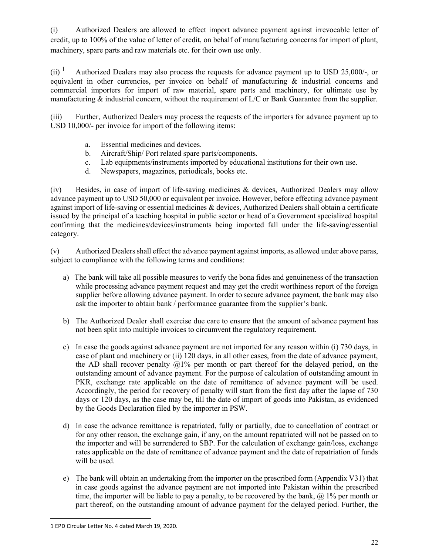(i) Authorized Dealers are allowed to effect import advance payment against irrevocable letter of credit, up to 100% of the value of letter of credit, on behalf of manufacturing concerns for import of plant, machinery, spare parts and raw materials etc. for their own use only.

 $(ii)$ <sup>1</sup> Authorized Dealers may also process the requests for advance payment up to USD 25,000/-, or equivalent in other currencies, per invoice on behalf of manufacturing & industrial concerns and commercial importers for import of raw material, spare parts and machinery, for ultimate use by manufacturing  $\&$  industrial concern, without the requirement of  $L/C$  or Bank Guarantee from the supplier.

(iii) Further, Authorized Dealers may process the requests of the importers for advance payment up to USD 10,000/- per invoice for import of the following items:

- a. Essential medicines and devices.
- b. Aircraft/Ship/ Port related spare parts/components.
- c. Lab equipments/instruments imported by educational institutions for their own use.
- d. Newspapers, magazines, periodicals, books etc.

(iv) Besides, in case of import of life-saving medicines & devices, Authorized Dealers may allow advance payment up to USD 50,000 or equivalent per invoice. However, before effecting advance payment against import of life-saving or essential medicines & devices, Authorized Dealers shall obtain a certificate issued by the principal of a teaching hospital in public sector or head of a Government specialized hospital confirming that the medicines/devices/instruments being imported fall under the life-saving/essential category.

(v) Authorized Dealers shall effect the advance payment against imports, as allowed under above paras, subject to compliance with the following terms and conditions:

- a) The bank will take all possible measures to verify the bona fides and genuineness of the transaction while processing advance payment request and may get the credit worthiness report of the foreign supplier before allowing advance payment. In order to secure advance payment, the bank may also ask the importer to obtain bank / performance guarantee from the supplier's bank.
- b) The Authorized Dealer shall exercise due care to ensure that the amount of advance payment has not been split into multiple invoices to circumvent the regulatory requirement.
- c) In case the goods against advance payment are not imported for any reason within (i) 730 days, in case of plant and machinery or (ii) 120 days, in all other cases, from the date of advance payment, the AD shall recover penalty  $(21\%$  per month or part thereof for the delayed period, on the outstanding amount of advance payment. For the purpose of calculation of outstanding amount in PKR, exchange rate applicable on the date of remittance of advance payment will be used. Accordingly, the period for recovery of penalty will start from the first day after the lapse of 730 days or 120 days, as the case may be, till the date of import of goods into Pakistan, as evidenced by the Goods Declaration filed by the importer in PSW.
- d) In case the advance remittance is repatriated, fully or partially, due to cancellation of contract or for any other reason, the exchange gain, if any, on the amount repatriated will not be passed on to the importer and will be surrendered to SBP. For the calculation of exchange gain/loss, exchange rates applicable on the date of remittance of advance payment and the date of repatriation of funds will be used.
- e) The bank will obtain an undertaking from the importer on the prescribed form (Appendix V31) that in case goods against the advance payment are not imported into Pakistan within the prescribed time, the importer will be liable to pay a penalty, to be recovered by the bank,  $\omega$  1% per month or part thereof, on the outstanding amount of advance payment for the delayed period. Further, the

l

<sup>1</sup> EPD Circular Letter No. 4 dated March 19, 2020.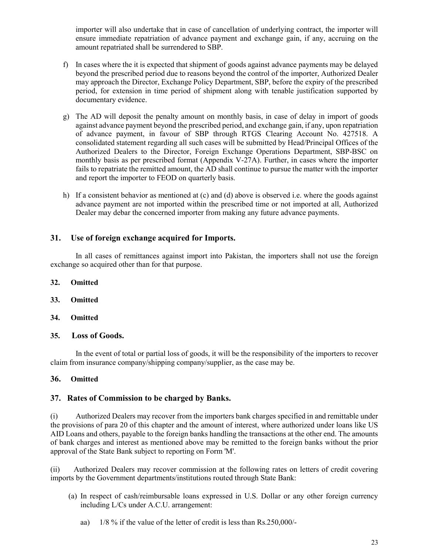importer will also undertake that in case of cancellation of underlying contract, the importer will ensure immediate repatriation of advance payment and exchange gain, if any, accruing on the amount repatriated shall be surrendered to SBP.

- f) In cases where the it is expected that shipment of goods against advance payments may be delayed beyond the prescribed period due to reasons beyond the control of the importer, Authorized Dealer may approach the Director, Exchange Policy Department, SBP, before the expiry of the prescribed period, for extension in time period of shipment along with tenable justification supported by documentary evidence.
- g) The AD will deposit the penalty amount on monthly basis, in case of delay in import of goods against advance payment beyond the prescribed period, and exchange gain, if any, upon repatriation of advance payment, in favour of SBP through RTGS Clearing Account No. 427518. A consolidated statement regarding all such cases will be submitted by Head/Principal Offices of the Authorized Dealers to the Director, Foreign Exchange Operations Department, SBP-BSC on monthly basis as per prescribed format (Appendix V-27A). Further, in cases where the importer fails to repatriate the remitted amount, the AD shall continue to pursue the matter with the importer and report the importer to FEOD on quarterly basis.
- h) If a consistent behavior as mentioned at (c) and (d) above is observed i.e. where the goods against advance payment are not imported within the prescribed time or not imported at all, Authorized Dealer may debar the concerned importer from making any future advance payments.

## 31. Use of foreign exchange acquired for Imports.

In all cases of remittances against import into Pakistan, the importers shall not use the foreign exchange so acquired other than for that purpose.

- 32. Omitted
- 33. Omitted
- 34. Omitted

#### 35. Loss of Goods.

In the event of total or partial loss of goods, it will be the responsibility of the importers to recover claim from insurance company/shipping company/supplier, as the case may be.

## 36. Omitted

## 37. Rates of Commission to be charged by Banks.

(i) Authorized Dealers may recover from the importers bank charges specified in and remittable under the provisions of para 20 of this chapter and the amount of interest, where authorized under loans like US AID Loans and others, payable to the foreign banks handling the transactions at the other end. The amounts of bank charges and interest as mentioned above may be remitted to the foreign banks without the prior approval of the State Bank subject to reporting on Form 'M'.

(ii) Authorized Dealers may recover commission at the following rates on letters of credit covering imports by the Government departments/institutions routed through State Bank:

- (a) In respect of cash/reimbursable loans expressed in U.S. Dollar or any other foreign currency including L/Cs under A.C.U. arrangement:
	- aa) 1/8 % if the value of the letter of credit is less than Rs.250,000/-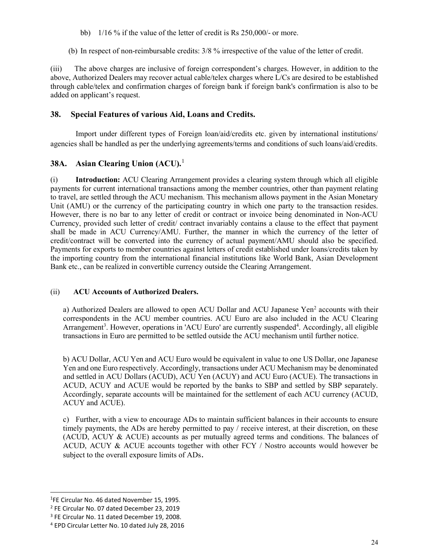- bb) 1/16 % if the value of the letter of credit is Rs 250,000/- or more.
- (b) In respect of non-reimbursable credits: 3/8 % irrespective of the value of the letter of credit.

(iii) The above charges are inclusive of foreign correspondent's charges. However, in addition to the above, Authorized Dealers may recover actual cable/telex charges where L/Cs are desired to be established through cable/telex and confirmation charges of foreign bank if foreign bank's confirmation is also to be added on applicant's request.

## 38. Special Features of various Aid, Loans and Credits.

Import under different types of Foreign loan/aid/credits etc. given by international institutions/ agencies shall be handled as per the underlying agreements/terms and conditions of such loans/aid/credits.

## 38A. Asian Clearing Union (ACU).<sup>1</sup>

(i) Introduction: ACU Clearing Arrangement provides a clearing system through which all eligible payments for current international transactions among the member countries, other than payment relating to travel, are settled through the ACU mechanism. This mechanism allows payment in the Asian Monetary Unit (AMU) or the currency of the participating country in which one party to the transaction resides. However, there is no bar to any letter of credit or contract or invoice being denominated in Non-ACU Currency, provided such letter of credit/ contract invariably contains a clause to the effect that payment shall be made in ACU Currency/AMU. Further, the manner in which the currency of the letter of credit/contract will be converted into the currency of actual payment/AMU should also be specified. Payments for exports to member countries against letters of credit established under loans/credits taken by the importing country from the international financial institutions like World Bank, Asian Development Bank etc., can be realized in convertible currency outside the Clearing Arrangement.

#### (ii) ACU Accounts of Authorized Dealers.

a) Authorized Dealers are allowed to open ACU Dollar and ACU Japanese Yen<sup>2</sup> accounts with their correspondents in the ACU member countries. ACU Euro are also included in the ACU Clearing Arrangement<sup>3</sup>. However, operations in 'ACU Euro' are currently suspended<sup>4</sup>. Accordingly, all eligible transactions in Euro are permitted to be settled outside the ACU mechanism until further notice.

b) ACU Dollar, ACU Yen and ACU Euro would be equivalent in value to one US Dollar, one Japanese Yen and one Euro respectively. Accordingly, transactions under ACU Mechanism may be denominated and settled in ACU Dollars (ACUD), ACU Yen (ACUY) and ACU Euro (ACUE). The transactions in ACUD, ACUY and ACUE would be reported by the banks to SBP and settled by SBP separately. Accordingly, separate accounts will be maintained for the settlement of each ACU currency (ACUD, ACUY and ACUE).

c) Further, with a view to encourage ADs to maintain sufficient balances in their accounts to ensure timely payments, the ADs are hereby permitted to pay / receive interest, at their discretion, on these (ACUD, ACUY & ACUE) accounts as per mutually agreed terms and conditions. The balances of ACUD, ACUY & ACUE accounts together with other FCY / Nostro accounts would however be subject to the overall exposure limits of ADs.

l

<sup>&</sup>lt;sup>1</sup>FE Circular No. 46 dated November 15, 1995.

<sup>2</sup> FE Circular No. 07 dated December 23, 2019

<sup>3</sup> FE Circular No. 11 dated December 19, 2008.

<sup>4</sup> EPD Circular Letter No. 10 dated July 28, 2016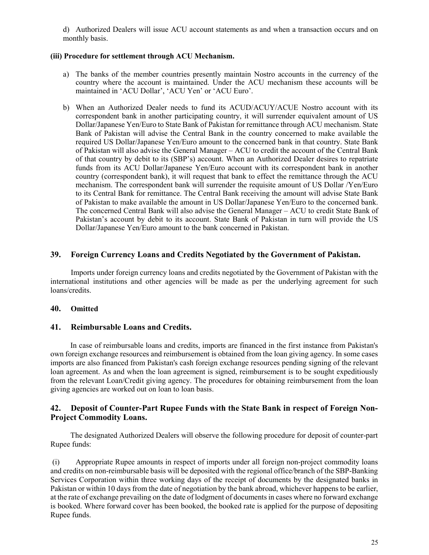d) Authorized Dealers will issue ACU account statements as and when a transaction occurs and on monthly basis.

#### (iii) Procedure for settlement through ACU Mechanism.

- a) The banks of the member countries presently maintain Nostro accounts in the currency of the country where the account is maintained. Under the ACU mechanism these accounts will be maintained in 'ACU Dollar', 'ACU Yen' or 'ACU Euro'.
- b) When an Authorized Dealer needs to fund its ACUD/ACUY/ACUE Nostro account with its correspondent bank in another participating country, it will surrender equivalent amount of US Dollar/Japanese Yen/Euro to State Bank of Pakistan for remittance through ACU mechanism. State Bank of Pakistan will advise the Central Bank in the country concerned to make available the required US Dollar/Japanese Yen/Euro amount to the concerned bank in that country. State Bank of Pakistan will also advise the General Manager – ACU to credit the account of the Central Bank of that country by debit to its (SBP's) account. When an Authorized Dealer desires to repatriate funds from its ACU Dollar/Japanese Yen/Euro account with its correspondent bank in another country (correspondent bank), it will request that bank to effect the remittance through the ACU mechanism. The correspondent bank will surrender the requisite amount of US Dollar /Yen/Euro to its Central Bank for remittance. The Central Bank receiving the amount will advise State Bank of Pakistan to make available the amount in US Dollar/Japanese Yen/Euro to the concerned bank. The concerned Central Bank will also advise the General Manager – ACU to credit State Bank of Pakistan's account by debit to its account. State Bank of Pakistan in turn will provide the US Dollar/Japanese Yen/Euro amount to the bank concerned in Pakistan.

## 39. Foreign Currency Loans and Credits Negotiated by the Government of Pakistan.

Imports under foreign currency loans and credits negotiated by the Government of Pakistan with the international institutions and other agencies will be made as per the underlying agreement for such loans/credits.

## 40. Omitted

## 41. Reimbursable Loans and Credits.

In case of reimbursable loans and credits, imports are financed in the first instance from Pakistan's own foreign exchange resources and reimbursement is obtained from the loan giving agency. In some cases imports are also financed from Pakistan's cash foreign exchange resources pending signing of the relevant loan agreement. As and when the loan agreement is signed, reimbursement is to be sought expeditiously from the relevant Loan/Credit giving agency. The procedures for obtaining reimbursement from the loan giving agencies are worked out on loan to loan basis.

## 42. Deposit of Counter-Part Rupee Funds with the State Bank in respect of Foreign Non-Project Commodity Loans.

The designated Authorized Dealers will observe the following procedure for deposit of counter-part Rupee funds:

(i) Appropriate Rupee amounts in respect of imports under all foreign non-project commodity loans and credits on non-reimbursable basis will be deposited with the regional office/branch of the SBP-Banking Services Corporation within three working days of the receipt of documents by the designated banks in Pakistan or within 10 days from the date of negotiation by the bank abroad, whichever happens to be earlier, at the rate of exchange prevailing on the date of lodgment of documents in cases where no forward exchange is booked. Where forward cover has been booked, the booked rate is applied for the purpose of depositing Rupee funds.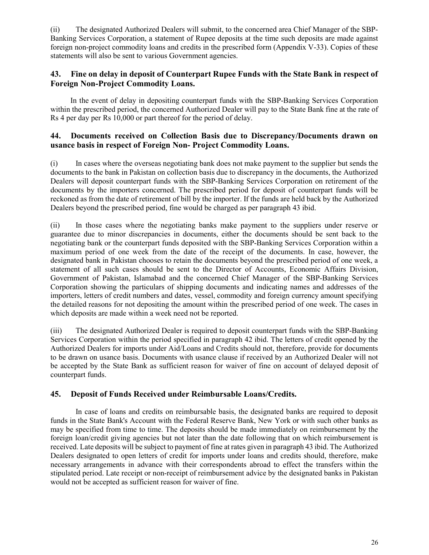(ii) The designated Authorized Dealers will submit, to the concerned area Chief Manager of the SBP-Banking Services Corporation, a statement of Rupee deposits at the time such deposits are made against foreign non-project commodity loans and credits in the prescribed form (Appendix V-33). Copies of these statements will also be sent to various Government agencies.

## 43. Fine on delay in deposit of Counterpart Rupee Funds with the State Bank in respect of Foreign Non-Project Commodity Loans.

In the event of delay in depositing counterpart funds with the SBP-Banking Services Corporation within the prescribed period, the concerned Authorized Dealer will pay to the State Bank fine at the rate of Rs 4 per day per Rs 10,000 or part thereof for the period of delay.

#### 44. Documents received on Collection Basis due to Discrepancy/Documents drawn on usance basis in respect of Foreign Non- Project Commodity Loans.

(i) In cases where the overseas negotiating bank does not make payment to the supplier but sends the documents to the bank in Pakistan on collection basis due to discrepancy in the documents, the Authorized Dealers will deposit counterpart funds with the SBP-Banking Services Corporation on retirement of the documents by the importers concerned. The prescribed period for deposit of counterpart funds will be reckoned as from the date of retirement of bill by the importer. If the funds are held back by the Authorized Dealers beyond the prescribed period, fine would be charged as per paragraph 43 ibid.

(ii) In those cases where the negotiating banks make payment to the suppliers under reserve or guarantee due to minor discrepancies in documents, either the documents should be sent back to the negotiating bank or the counterpart funds deposited with the SBP-Banking Services Corporation within a maximum period of one week from the date of the receipt of the documents. In case, however, the designated bank in Pakistan chooses to retain the documents beyond the prescribed period of one week, a statement of all such cases should be sent to the Director of Accounts, Economic Affairs Division, Government of Pakistan, Islamabad and the concerned Chief Manager of the SBP-Banking Services Corporation showing the particulars of shipping documents and indicating names and addresses of the importers, letters of credit numbers and dates, vessel, commodity and foreign currency amount specifying the detailed reasons for not depositing the amount within the prescribed period of one week. The cases in which deposits are made within a week need not be reported.

(iii) The designated Authorized Dealer is required to deposit counterpart funds with the SBP-Banking Services Corporation within the period specified in paragraph 42 ibid. The letters of credit opened by the Authorized Dealers for imports under Aid/Loans and Credits should not, therefore, provide for documents to be drawn on usance basis. Documents with usance clause if received by an Authorized Dealer will not be accepted by the State Bank as sufficient reason for waiver of fine on account of delayed deposit of counterpart funds.

## 45. Deposit of Funds Received under Reimbursable Loans/Credits.

In case of loans and credits on reimbursable basis, the designated banks are required to deposit funds in the State Bank's Account with the Federal Reserve Bank, New York or with such other banks as may be specified from time to time. The deposits should be made immediately on reimbursement by the foreign loan/credit giving agencies but not later than the date following that on which reimbursement is received. Late deposits will be subject to payment of fine at rates given in paragraph 43 ibid. The Authorized Dealers designated to open letters of credit for imports under loans and credits should, therefore, make necessary arrangements in advance with their correspondents abroad to effect the transfers within the stipulated period. Late receipt or non-receipt of reimbursement advice by the designated banks in Pakistan would not be accepted as sufficient reason for waiver of fine.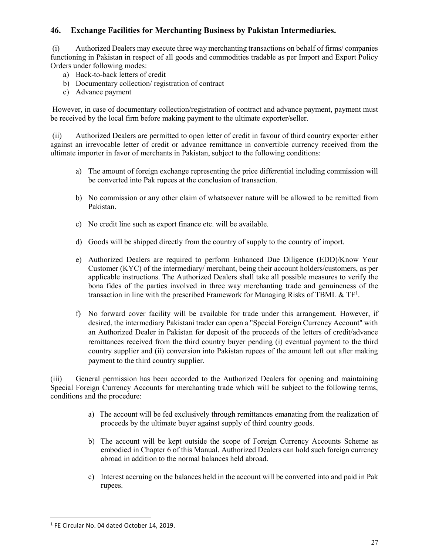# 46. Exchange Facilities for Merchanting Business by Pakistan Intermediaries.

(i) Authorized Dealers may execute three way merchanting transactions on behalf of firms/ companies functioning in Pakistan in respect of all goods and commodities tradable as per Import and Export Policy Orders under following modes:

- a) Back-to-back letters of credit
- b) Documentary collection/ registration of contract
- c) Advance payment

However, in case of documentary collection/registration of contract and advance payment, payment must be received by the local firm before making payment to the ultimate exporter/seller.

(ii) Authorized Dealers are permitted to open letter of credit in favour of third country exporter either against an irrevocable letter of credit or advance remittance in convertible currency received from the ultimate importer in favor of merchants in Pakistan, subject to the following conditions:

- a) The amount of foreign exchange representing the price differential including commission will be converted into Pak rupees at the conclusion of transaction.
- b) No commission or any other claim of whatsoever nature will be allowed to be remitted from Pakistan.
- c) No credit line such as export finance etc. will be available.
- d) Goods will be shipped directly from the country of supply to the country of import.
- e) Authorized Dealers are required to perform Enhanced Due Diligence (EDD)/Know Your Customer (KYC) of the intermediary/ merchant, being their account holders/customers, as per applicable instructions. The Authorized Dealers shall take all possible measures to verify the bona fides of the parties involved in three way merchanting trade and genuineness of the transaction in line with the prescribed Framework for Managing Risks of TBML  $\&$  TF<sup>1</sup>.
- f) No forward cover facility will be available for trade under this arrangement. However, if desired, the intermediary Pakistani trader can open a "Special Foreign Currency Account" with an Authorized Dealer in Pakistan for deposit of the proceeds of the letters of credit/advance remittances received from the third country buyer pending (i) eventual payment to the third country supplier and (ii) conversion into Pakistan rupees of the amount left out after making payment to the third country supplier.

(iii) General permission has been accorded to the Authorized Dealers for opening and maintaining Special Foreign Currency Accounts for merchanting trade which will be subject to the following terms, conditions and the procedure:

- a) The account will be fed exclusively through remittances emanating from the realization of proceeds by the ultimate buyer against supply of third country goods.
- b) The account will be kept outside the scope of Foreign Currency Accounts Scheme as embodied in Chapter 6 of this Manual. Authorized Dealers can hold such foreign currency abroad in addition to the normal balances held abroad.
- c) Interest accruing on the balances held in the account will be converted into and paid in Pak rupees.

-

<sup>&</sup>lt;sup>1</sup> FE Circular No. 04 dated October 14, 2019.